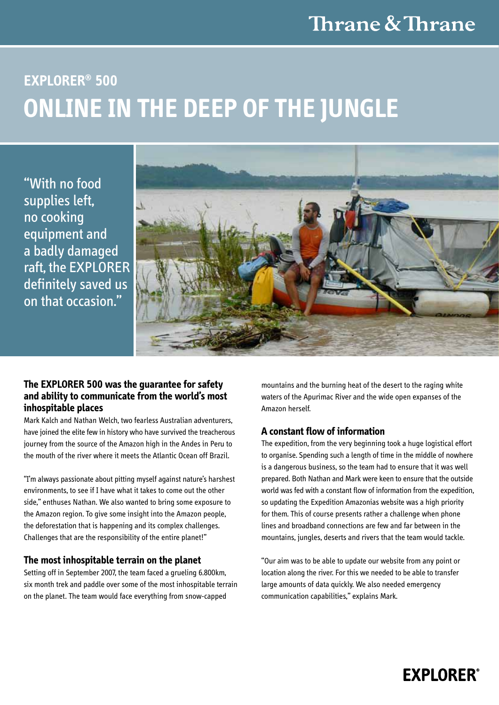## Thrane & Thrane

# **Explorer® 500 ONLINE IN THE DEEP OF THE JUNGLE**

"With no food supplies left, no cooking equipment and a badly damaged raft, the EXPLORER definitely saved us on that occasion."



### **The EXPLORER 500 was the guarantee for safety and ability to communicate from the world's most inhospitable places**

Mark Kalch and Nathan Welch, two fearless Australian adventurers, have joined the elite few in history who have survived the treacherous journey from the source of the Amazon high in the Andes in Peru to the mouth of the river where it meets the Atlantic Ocean off Brazil.

"I'm always passionate about pitting myself against nature's harshest environments, to see if I have what it takes to come out the other side," enthuses Nathan. We also wanted to bring some exposure to the Amazon region. To give some insight into the Amazon people, the deforestation that is happening and its complex challenges. Challenges that are the responsibility of the entire planet!"

#### **The most inhospitable terrain on the planet**

Setting off in September 2007, the team faced a grueling 6.800km, six month trek and paddle over some of the most inhospitable terrain on the planet. The team would face everything from snow-capped

mountains and the burning heat of the desert to the raging white waters of the Apurimac River and the wide open expanses of the Amazon herself.

### **A constant flow of information**

The expedition, from the very beginning took a huge logistical effort to organise. Spending such a length of time in the middle of nowhere is a dangerous business, so the team had to ensure that it was well prepared. Both Nathan and Mark were keen to ensure that the outside world was fed with a constant flow of information from the expedition, so updating the Expedition Amazonias website was a high priority for them. This of course presents rather a challenge when phone lines and broadband connections are few and far between in the mountains, jungles, deserts and rivers that the team would tackle.

"Our aim was to be able to update our website from any point or location along the river. For this we needed to be able to transfer large amounts of data quickly. We also needed emergency communication capabilities," explains Mark.

### **EXPLORER®**